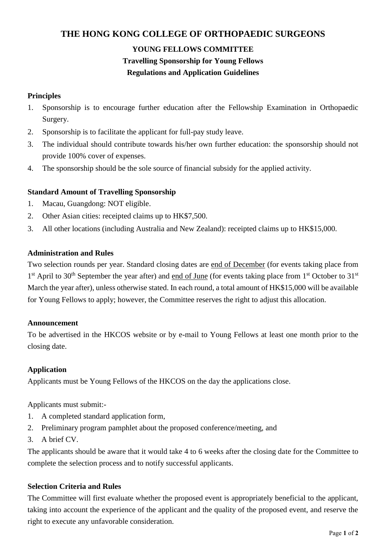## **THE HONG KONG COLLEGE OF ORTHOPAEDIC SURGEONS**

# **YOUNG FELLOWS COMMITTEE Travelling Sponsorship for Young Fellows Regulations and Application Guidelines**

## **Principles**

- 1. Sponsorship is to encourage further education after the Fellowship Examination in Orthopaedic Surgery.
- 2. Sponsorship is to facilitate the applicant for full-pay study leave.
- 3. The individual should contribute towards his/her own further education: the sponsorship should not provide 100% cover of expenses.
- 4. The sponsorship should be the sole source of financial subsidy for the applied activity.

#### **Standard Amount of Travelling Sponsorship**

- 1. Macau, Guangdong: NOT eligible.
- 2. Other Asian cities: receipted claims up to HK\$7,500.
- 3. All other locations (including Australia and New Zealand): receipted claims up to HK\$15,000.

#### **Administration and Rules**

Two selection rounds per year. Standard closing dates are end of December (for events taking place from 1<sup>st</sup> April to 30<sup>th</sup> September the year after) and end of June (for events taking place from 1<sup>st</sup> October to 31<sup>st</sup> March the year after), unless otherwise stated. In each round, a total amount of HK\$15,000 will be available for Young Fellows to apply; however, the Committee reserves the right to adjust this allocation.

#### **Announcement**

To be advertised in the HKCOS website or by e-mail to Young Fellows at least one month prior to the closing date.

#### **Application**

Applicants must be Young Fellows of the HKCOS on the day the applications close.

Applicants must submit:-

- 1. A completed standard application form,
- 2. Preliminary program pamphlet about the proposed conference/meeting, and
- 3. A brief CV.

The applicants should be aware that it would take 4 to 6 weeks after the closing date for the Committee to complete the selection process and to notify successful applicants.

#### **Selection Criteria and Rules**

The Committee will first evaluate whether the proposed event is appropriately beneficial to the applicant, taking into account the experience of the applicant and the quality of the proposed event, and reserve the right to execute any unfavorable consideration.